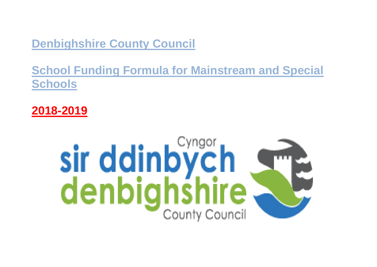**Denbighshire County Council**

**School Funding Formula for Mainstream and Special Schools**

**2018-2019**

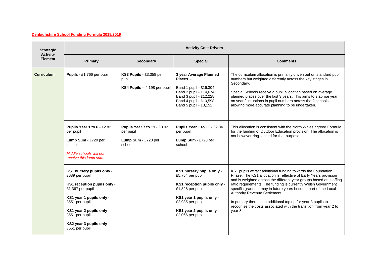## **Denbighshire School Funding Formula 2018/2019**

| <b>Strategic</b>                  | <b>Activity Cost Drivers</b>                                                                                                                                                                                                             |                                                                           |                                                                                                                                                                                                  |                                                                                                                                                                                                                                                                                                                                                                                                                                                                                                                             |
|-----------------------------------|------------------------------------------------------------------------------------------------------------------------------------------------------------------------------------------------------------------------------------------|---------------------------------------------------------------------------|--------------------------------------------------------------------------------------------------------------------------------------------------------------------------------------------------|-----------------------------------------------------------------------------------------------------------------------------------------------------------------------------------------------------------------------------------------------------------------------------------------------------------------------------------------------------------------------------------------------------------------------------------------------------------------------------------------------------------------------------|
| <b>Activity</b><br><b>Element</b> | Primary                                                                                                                                                                                                                                  | <b>Secondary</b>                                                          | <b>Special</b>                                                                                                                                                                                   | <b>Comments</b>                                                                                                                                                                                                                                                                                                                                                                                                                                                                                                             |
| <b>Curriculum</b>                 | Pupils - £1,766 per pupil                                                                                                                                                                                                                | KS3 Pupils - £3,358 per<br>pupil<br>KS4 Pupils $-4,198$ per pupil         | 3 year Average Planned<br>Places -<br>Band 1 pupil - £16,304<br>Band 2 pupil - £14,674<br>Band 3 pupil - £12,228<br>Band 4 pupil - £10,598<br>Band 5 pupil - £8,152                              | The curriculum allocation is primarily driven out on standard pupil<br>numbers but weighted differently across the key stages in<br>Secondary.<br>Special Schools receive a pupil allocation based on average<br>planned places over the last 3 years. This aims to stabilise year<br>on year fluctuations in pupil numbers across the 2 schools<br>allowing more accurate planning to be undertaken.                                                                                                                       |
|                                   | Pupils Year 1 to 6 - £2.82<br>per pupil<br>Lump Sum - £720 per<br>school<br>Middle schools will not<br>receive this lump sum                                                                                                             | Pupils Year 7 to 11 - £3.02<br>per pupil<br>Lump Sum - £720 per<br>school | Pupils Year 1 to 11 - £2.84<br>per pupil<br>Lump Sum - £720 per<br>school                                                                                                                        | This allocation is consistent with the North Wales agreed Formula<br>for the funding of Outdoor Education provision. The allocation is<br>not however ring-fenced for that purpose.                                                                                                                                                                                                                                                                                                                                         |
|                                   | KS1 nursery pupils only -<br>£689 per pupil<br>KS1 reception pupils only -<br>£1,367 per pupil<br>KS1 year 1 pupils only -<br>£551 per pupil<br>KS1 year 2 pupils only -<br>£551 per pupil<br>KS2 year 3 pupils only -<br>£551 per pupil |                                                                           | KS1 nursery pupils only -<br>£5,754 per pupil<br>KS1 reception pupils only -<br>£1,828 per pupil<br>KS1 year 1 pupils only -<br>£2,935 per pupil<br>KS1 year 2 pupils only -<br>£2,066 per pupil | KS1 pupils attract additional funding towards the Foundation<br>Phase. The KS1 allocation is reflective of Early Years provision<br>and is weighted across the different year groups based on staffing<br>ratio requirements. The funding is currently Welsh Government<br>specific grant but may in future years become part of the Local<br>Authority Revenue Settlement<br>In primary there is an additional top up for year 3 pupils to<br>recognise the costs associated with the transition from year 2 to<br>year 3. |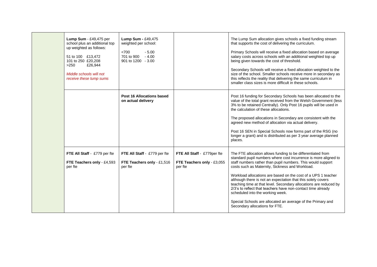| Lump Sum - £49,475 per<br>school plus an additional top<br>up weighted as follows:<br>51 to 100 £13,472<br>101 to 250 £20,208<br>£26,944<br>>250<br>Middle schools will not<br>receive these lump sums | Lump Sum - £49,475<br>weighted per school:<br>< 700<br>$-5.00$<br>701 to 900<br>$-4.00$<br>901 to 1200 - 3.00 |                                                                      | The Lump Sum allocation gives schools a fixed funding stream<br>that supports the cost of delivering the curriculum.<br>Primary Schools will receive a fixed allocation based on average<br>salary costs across schools with an additional weighted top up<br>being given towards the cost of threshold.<br>Secondary Schools will receive a fixed allocation weighted to the<br>size of the school. Smaller schools receive more in secondary as<br>this reflects the reality that delivering the same curriculum in<br>smaller class sizes is more difficult in these schools.                                                                            |
|--------------------------------------------------------------------------------------------------------------------------------------------------------------------------------------------------------|---------------------------------------------------------------------------------------------------------------|----------------------------------------------------------------------|-------------------------------------------------------------------------------------------------------------------------------------------------------------------------------------------------------------------------------------------------------------------------------------------------------------------------------------------------------------------------------------------------------------------------------------------------------------------------------------------------------------------------------------------------------------------------------------------------------------------------------------------------------------|
|                                                                                                                                                                                                        | <b>Post 16 Allocations based</b><br>on actual delivery                                                        |                                                                      | Post 16 funding for Secondary Schools has been allocated to the<br>value of the total grant received from the Welsh Government (less<br>3% to be retained Centrally). Only Post 16 pupils will be used in<br>the calculation of these allocations.<br>The proposed allocations in Secondary are consistent with the<br>agreed new method of allocation via actual delivery.<br>Post 16 SEN in Special Schools now forms part of the RSG (no<br>longer a grant) and is distributed as per 3 year average planned<br>places.                                                                                                                                  |
| FTE All Staff - £779 per fte<br>FTE Teachers only - £4,593<br>per fte                                                                                                                                  | FTE All Staff - £779 per fte<br>FTE Teachers only - £1,516<br>per fte                                         | FTE All Staff - £779per fte<br>FTE Teachers only - £3,055<br>per fte | The FTE allocation allows funding to be differentiated from<br>standard pupil numbers where cost incurrence is more aligned to<br>staff numbers rather than pupil numbers. This would support<br>costs such as Maternity, Sickness and Workload.<br>Workload allocations are based on the cost of a UPS 1 teacher<br>although there is not an expectation that this solely covers<br>teaching time at that level. Secondary allocations are reduced by<br>2/3's to reflect that teachers have non-contact time already<br>scheduled into the working week.<br>Special Schools are allocated an average of the Primary and<br>Secondary allocations for FTE. |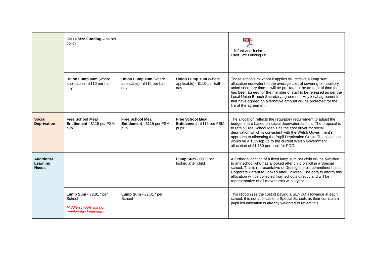|                                               | Class Size Funding - as per<br>policy                                               |                                                                |                                                                | Infant and Junior<br>Class Size Funding Fir                                                                                                                                                                                                                                                                                                                                                                                                 |
|-----------------------------------------------|-------------------------------------------------------------------------------------|----------------------------------------------------------------|----------------------------------------------------------------|---------------------------------------------------------------------------------------------------------------------------------------------------------------------------------------------------------------------------------------------------------------------------------------------------------------------------------------------------------------------------------------------------------------------------------------------|
|                                               | Union Lump sum (where<br>applicable) - £110 per half<br>day                         | Union Lump sum (where<br>applicable) - £110 per half<br>day    | Union Lump sum (where<br>applicable) - £110 per half<br>day    | Those schools to whom it applies will receive a lump sum<br>allocation equivalent to the average cost of covering compulsory<br>union secretary time. It will be pro-rata to the amount of time that<br>has been agreed for the member of staff to be released as per the<br>Local Union Branch Secretary agreement. Any local agreements<br>that have agreed an alternative amount will be protected for the<br>life of the agreement.     |
| <b>Social</b><br><b>Deprivation</b>           | <b>Free School Meal</b><br>Entitlement - £115 per FSM<br>pupil                      | <b>Free School Meal</b><br>Entitlement - £115 per FSM<br>pupil | <b>Free School Meal</b><br>Entitlement - £115 per FSM<br>pupil | The allocation reflects the regulatory requirement to adjust the<br>budget share based on social deprivation factors. The proposal is<br>to retain Free School Meals as the cost driver for social<br>deprivation which is consistent with the Welsh Government's<br>approach to allocating the Pupil Deprivation Grant. The allocation<br>would be a 10% top up to the current Welsh Government<br>allocation of £1,150 per pupil for PDG. |
| <b>Additional</b><br>Learning<br><b>Needs</b> |                                                                                     |                                                                | Lump Sum - £600 per<br>looked after child                      | A further allocation of a fixed lump sum per child will be awarded<br>to any school who has a looked after child on roll in a Special<br>school. This is representative of Denbighshire's commitment as a<br>Corporate Parent to Looked after Children. The data to inform this<br>allocation will be collected from schools directly and will be<br>representative of all movements within year.                                           |
|                                               | Lump Sum - £2,817 per<br>School<br>Middle schools will not<br>receive this lump sum | Lump Sum - £2,817 per<br>School                                |                                                                | This recognises the cost of paying a SENCO allowance at each<br>school. It is not applicable to Special Schools as their curriculum<br>pupil led allocation is already weighted to reflect this.                                                                                                                                                                                                                                            |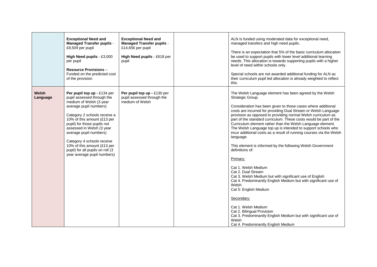|                   | <b>Exceptional Need and</b><br><b>Managed Transfer pupils -</b><br>£8,509 per pupil<br>High Need pupils - £3,000<br>per pupil<br><b>Resource Provisions -</b><br>Funded on the predicted cost<br>of the provision                                                                                                                                                                                   | <b>Exceptional Need and</b><br><b>Managed Transfer pupils -</b><br>£14,656 per pupil<br>High Need pupils - £618 per<br>pupil | ALN is funded using moderated data for exceptional need,<br>managed transfers and high need pupils.<br>There is an expectation that 5% of the basic curriculum allocation<br>be used to support pupils with lower level additional learning<br>needs. This allocation is towards supporting pupils with a higher<br>level of need within schools only.<br>Special schools are not awarded additional funding for ALN as<br>their curriculum pupil led allocation is already weighted to reflect<br>this.                                                                                                                                                                                                                                                                                                                                                                                                                                                                                                                                                             |
|-------------------|-----------------------------------------------------------------------------------------------------------------------------------------------------------------------------------------------------------------------------------------------------------------------------------------------------------------------------------------------------------------------------------------------------|------------------------------------------------------------------------------------------------------------------------------|----------------------------------------------------------------------------------------------------------------------------------------------------------------------------------------------------------------------------------------------------------------------------------------------------------------------------------------------------------------------------------------------------------------------------------------------------------------------------------------------------------------------------------------------------------------------------------------------------------------------------------------------------------------------------------------------------------------------------------------------------------------------------------------------------------------------------------------------------------------------------------------------------------------------------------------------------------------------------------------------------------------------------------------------------------------------|
| Welsh<br>Language | Per pupil top up - £134 per<br>pupil assessed through the<br>medium of Welsh (3 year<br>average pupil numbers)<br>Category 2 schools receive a<br>10% of this amount (£13 per<br>pupil) for those pupils not<br>assessed in Welsh (3 year<br>average pupil numbers)<br>Category 4 schools receive<br>10% of this amount (£13 per<br>pupil) for all pupils on roll (3<br>year average pupil numbers) | Per pupil top up - £130 per<br>pupil assessed through the<br>medium of Welsh                                                 | The Welsh Language element has been agreed by the Welsh<br>Strategic Group.<br>Consideration has been given to those cases where additional<br>costs are incurred for providing Dual Stream or Welsh Language<br>provision as opposed to providing normal Welsh curriculum as<br>part of the standard curriculum. These costs would be part of the<br>Curriculum element rather than the Welsh Language element.<br>The Welsh Language top up is intended to support schools who<br>incur additional costs as a result of running courses via the Welsh<br>language.<br>This element is informed by the following Welsh Government<br>definitions of:<br>Primary:<br>Cat 1. Welsh Medium<br>Cat 2. Dual Stream<br>Cat 3. Welsh Medium but with significant use of English<br>Cat 4. Predominantly English Medium but with significant use of<br>Welsh<br>Cat 5: English Medium<br>Secondary:<br>Cat 1. Welsh Medium<br>Cat 2. Bilingual Provision<br>Cat 3. Predominantly English Medium but with significant use of<br>Welsh<br>Cat 4. Predominantly English Medium |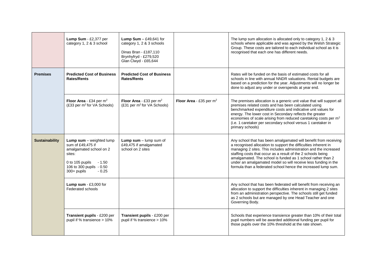|                       | Lump Sum - £2,377 per<br>category 1, 2 & 3 school                                                                                                                               | <b>Lump Sum</b> $-$ £49,641 for<br>category 1, 2 & 3 schools<br>Dinas Bran - £187,110<br>Brynhyfryd - £279,520<br>Glan Clwyd - £65,644 |                            | The lump sum allocation is allocated only to category 1, 2 & 3<br>schools where applicable and was agreed by the Welsh Strategic<br>Group. These costs are tailored to each individual school as it is<br>recognised that each one has different needs.                                                                                                                                                                                                                   |
|-----------------------|---------------------------------------------------------------------------------------------------------------------------------------------------------------------------------|----------------------------------------------------------------------------------------------------------------------------------------|----------------------------|---------------------------------------------------------------------------------------------------------------------------------------------------------------------------------------------------------------------------------------------------------------------------------------------------------------------------------------------------------------------------------------------------------------------------------------------------------------------------|
| <b>Premises</b>       | <b>Predicted Cost of Business</b><br><b>Rates/Rents</b>                                                                                                                         | <b>Predicted Cost of Business</b><br><b>Rates/Rents</b>                                                                                |                            | Rates will be funded on the basis of estimated costs for all<br>schools in line with annual NNDR valuations. Rental budgets are<br>based on a prediction for the year. Adjustments will no longer be<br>done to adjust any under or overspends at year end.                                                                                                                                                                                                               |
|                       | Floor Area - £34 per $m^2$<br>(£33 per m <sup>2</sup> for VA Schools)                                                                                                           | Floor Area - £33 per m <sup>2</sup><br>(£31 per m <sup>2</sup> for VA Schools)                                                         | Floor Area - £35 per $m^2$ | The premises allocation is a generic unit value that will support all<br>premises related costs and has been calculated using<br>benchmarked expenditure costs and indicative unit values for<br>energy. The lower cost in Secondary reflects the greater<br>economies of scale arising from reduced caretaking costs per m <sup>2</sup><br>(i.e. 1 caretaker per secondary school versus 1 caretaker in<br>primary schools)                                              |
| <b>Sustainability</b> | <b>Lump sum</b> $-$ weighted lump<br>sum of £49,475 if<br>amalgamated school on 2<br>sites:<br>0 to 105 pupils<br>$-1.50$<br>106 to 300 pupils - 0.50<br>300+ pupils<br>$-0.25$ | <b>Lump sum</b> $-$ lump sum of<br>£49,475 if amalgamated<br>school on 2 sites                                                         |                            | Any school that has been amalgamated will benefit from receiving<br>a recognised allocation to support the difficulties inherent in<br>managing 2 sites. This includes administration and the increased<br>staffing costs that occur as a result of the 2 schools being<br>amalgamated. The school is funded as 1 school rather than 2<br>under an amalgamated model so will receive less funding in the<br>formula than a federated school hence the increased lump sum. |
|                       | Lump sum - £3,000 for<br>Federated schools                                                                                                                                      |                                                                                                                                        |                            | Any school that has been federated will benefit from receiving an<br>allocation to support the difficulties inherent in managing 2 sites<br>from an administration perspective. The schools still get funded<br>as 2 schools but are managed by one Head Teacher and one<br>Governing Body.                                                                                                                                                                               |
|                       | Transient pupils - £200 per<br>pupil if % transience > 10%                                                                                                                      | Transient pupils - £200 per<br>pupil if % transience > 10%                                                                             |                            | Schools that experience transience greater than 10% of their total<br>pupil numbers will be awarded additional funding per pupil for<br>those pupils over the 10% threshold at the rate shown.                                                                                                                                                                                                                                                                            |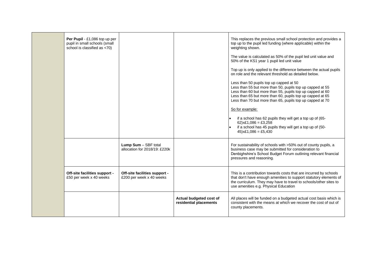| Per Pupil - £1,086 top up per<br>pupil in small schools (small<br>school is classified as <70) |                                                           |                                                   | This replaces the previous small school protection and provides a<br>top up to the pupil led funding (where applicable) within the<br>weighting shown.                                                                                                                                      |
|------------------------------------------------------------------------------------------------|-----------------------------------------------------------|---------------------------------------------------|---------------------------------------------------------------------------------------------------------------------------------------------------------------------------------------------------------------------------------------------------------------------------------------------|
|                                                                                                |                                                           |                                                   | The value is calculated as 50% of the pupil led unit value and<br>50% of the KS1 year 1 pupil led unit value                                                                                                                                                                                |
|                                                                                                |                                                           |                                                   | Top up is only applied to the difference between the actual pupils<br>on role and the relevant threshold as detailed below.                                                                                                                                                                 |
|                                                                                                |                                                           |                                                   | Less than 50 pupils top up capped at 50<br>Less than 55 but more than 50, pupils top up capped at 55<br>Less than 60 but more than 55, pupils top up capped at 60<br>Less than 65 but more than 60, pupils top up capped at 65<br>Less than 70 but more than 65, pupils top up capped at 70 |
|                                                                                                |                                                           |                                                   | So for example:                                                                                                                                                                                                                                                                             |
|                                                                                                |                                                           |                                                   | if a school has 62 pupils they will get a top up of (65-<br>62) $x£1,086 = £3,258$<br>if a school has 45 pupils they will get a top up of (50-<br>$45$ )x£1,086 = £5,430                                                                                                                    |
|                                                                                                | Lump Sum - SBF total<br>allocation for 2018/19: £220k     |                                                   | For sustainability of schools with >50% out of county pupils, a<br>business case may be submitted for consideration to<br>Denbighshire's School Budget Forum outlining relevant financial<br>pressures and reasoning.                                                                       |
| Off-site facilities support -<br>£50 per week x 40 weeks                                       | Off-site facilities support -<br>£200 per week x 40 weeks |                                                   | This is a contribution towards costs that are incurred by schools<br>that don't have enough amenities to support statutory elements of<br>the curriculum. They may have to travel to schools/other sites to<br>use amenities e.g. Physical Education                                        |
|                                                                                                |                                                           | Actual budgeted cost of<br>residential placements | All places will be funded on a budgeted actual cost basis which is<br>consistent with the means at which we recover the cost of out of<br>county placements.                                                                                                                                |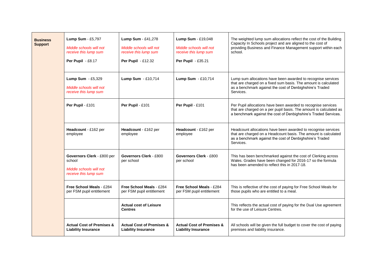| <b>Business</b><br><b>Support</b> | Lump Sum - £5,797<br>Middle schools will not<br>receive this lump sum<br>Per Pupil - £8.17 | Lump Sum - £41,278<br>Middle schools will not<br>receive this lump sum<br><b>Per Pupil - £12.32</b> | Lump Sum - £19,048<br>Middle schools will not<br>receive this lump sum<br>Per Pupil - £35.21 | The weighted lump sum allocations reflect the cost of the Building<br>Capacity In Schools project and are aligned to the cost of<br>providing Business and Finance Management support within each<br>school. |
|-----------------------------------|--------------------------------------------------------------------------------------------|-----------------------------------------------------------------------------------------------------|----------------------------------------------------------------------------------------------|--------------------------------------------------------------------------------------------------------------------------------------------------------------------------------------------------------------|
|                                   | Lump Sum - £5,329<br>Middle schools will not<br>receive this lump sum                      | Lump Sum - £10,714                                                                                  | Lump Sum - £10,714                                                                           | Lump sum allocations have been awarded to recognise services<br>that are charged on a fixed sum basis. The amount is calculated<br>as a benchmark against the cost of Denbighshire's Traded<br>Services.     |
|                                   | Per Pupil - £101                                                                           | Per Pupil - £101                                                                                    | Per Pupil - £101                                                                             | Per Pupil allocations have been awarded to recognise services<br>that are charged on a per pupil basis. The amount is calculated as<br>a benchmark against the cost of Denbighshire's Traded Services.       |
|                                   | Headcount - £162 per<br>employee                                                           | Headcount - £162 per<br>employee                                                                    | Headcount - £162 per<br>employee                                                             | Headcount allocations have been awarded to recognise services<br>that are charged on a Headcount basis. The amount is calculated<br>as a benchmark against the cost of Denbighshire's Traded<br>Services.    |
|                                   | Governors Clerk - £800 per<br>school<br>Middle schools will not<br>receive this lump sum   | Governors Clerk - £800<br>per school                                                                | <b>Governors Clerk - £800</b><br>per school                                                  | This has been benchmarked against the cost of Clerking across<br>Wales. Grades have been changed for 2016-17 so the formula<br>has been amended to reflect this in 2017-18.                                  |
|                                   | Free School Meals - £284<br>per FSM pupil entitlement                                      | Free School Meals - £284<br>per FSM pupil entitlement                                               | Free School Meals - £284<br>per FSM pupil entitlement                                        | This is reflective of the cost of paying for Free School Meals for<br>those pupils who are entitled to a meal.                                                                                               |
|                                   |                                                                                            | <b>Actual cost of Leisure</b><br><b>Centres</b>                                                     |                                                                                              | This reflects the actual cost of paying for the Dual Use agreement<br>for the use of Leisure Centres.                                                                                                        |
|                                   | <b>Actual Cost of Premises &amp;</b><br><b>Liability Insurance</b>                         | <b>Actual Cost of Premises &amp;</b><br><b>Liability Insurance</b>                                  | <b>Actual Cost of Premises &amp;</b><br><b>Liability Insurance</b>                           | All schools will be given the full budget to cover the cost of paying<br>premises and liability insurance.                                                                                                   |